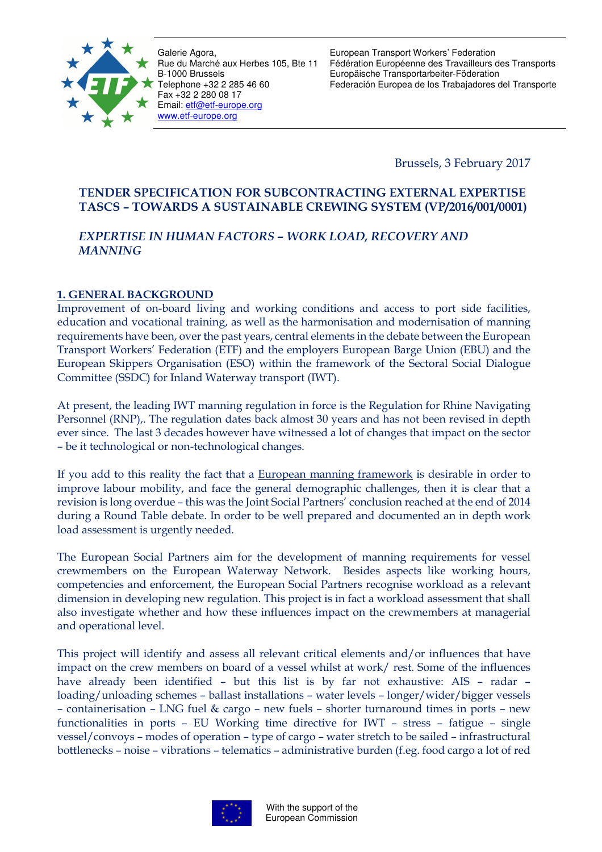

European Transport Workers' Federation Fédération Européenne des Travailleurs des Transports Europäische Transportarbeiter-Föderation Federación Europea de los Trabajadores del Transporte

Brussels, 3 February 2017

# **TENDER SPECIFICATION FOR SUBCONTRACTING EXTERNAL EXPERTISE TASCS – TOWARDS A SUSTAINABLE CREWING SYSTEM (VP/2016/001/0001)**

# *EXPERTISE IN HUMAN FACTORS – WORK LOAD, RECOVERY AND MANNING*

# **1. GENERAL BACKGROUND**

Improvement of on-board living and working conditions and access to port side facilities, education and vocational training, as well as the harmonisation and modernisation of manning requirements have been, over the past years, central elements in the debate between the European Transport Workers' Federation (ETF) and the employers European Barge Union (EBU) and the European Skippers Organisation (ESO) within the framework of the Sectoral Social Dialogue Committee (SSDC) for Inland Waterway transport (IWT).

At present, the leading IWT manning regulation in force is the Regulation for Rhine Navigating Personnel (RNP),. The regulation dates back almost 30 years and has not been revised in depth ever since. The last 3 decades however have witnessed a lot of changes that impact on the sector – be it technological or non-technological changes.

If you add to this reality the fact that a European manning framework is desirable in order to improve labour mobility, and face the general demographic challenges, then it is clear that a revision is long overdue – this was the Joint Social Partners' conclusion reached at the end of 2014 during a Round Table debate. In order to be well prepared and documented an in depth work load assessment is urgently needed.

The European Social Partners aim for the development of manning requirements for vessel crewmembers on the European Waterway Network. Besides aspects like working hours, competencies and enforcement, the European Social Partners recognise workload as a relevant dimension in developing new regulation. This project is in fact a workload assessment that shall also investigate whether and how these influences impact on the crewmembers at managerial and operational level.

This project will identify and assess all relevant critical elements and/or influences that have impact on the crew members on board of a vessel whilst at work/ rest. Some of the influences have already been identified – but this list is by far not exhaustive: AIS – radar – loading/unloading schemes – ballast installations – water levels – longer/wider/bigger vessels – containerisation – LNG fuel & cargo – new fuels – shorter turnaround times in ports – new functionalities in ports – EU Working time directive for IWT – stress – fatigue – single vessel/convoys – modes of operation – type of cargo – water stretch to be sailed – infrastructural bottlenecks – noise – vibrations – telematics – administrative burden (f.eg. food cargo a lot of red

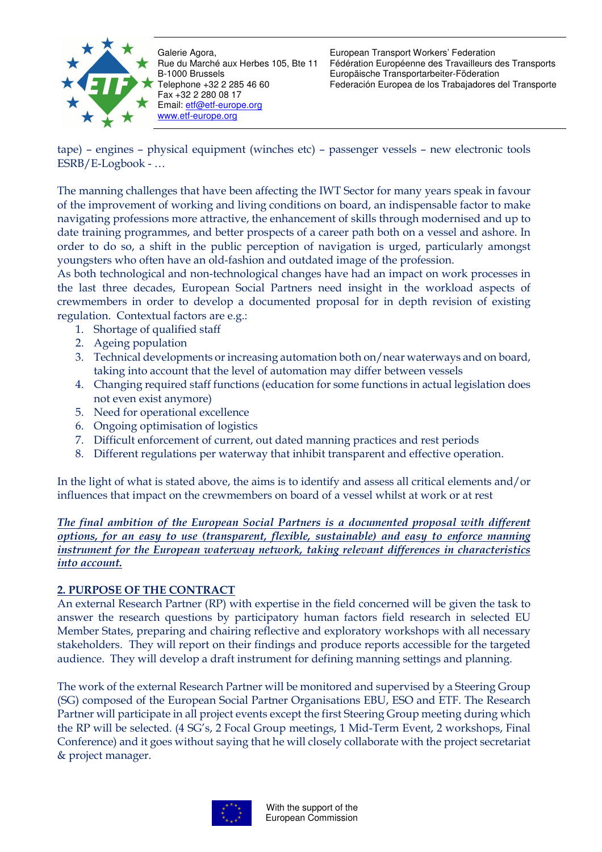

European Transport Workers' Federation Fédération Européenne des Travailleurs des Transports Europäische Transportarbeiter-Föderation Federación Europea de los Trabajadores del Transporte

tape) – engines – physical equipment (winches etc) – passenger vessels – new electronic tools ESRB/E-Logbook - …

The manning challenges that have been affecting the IWT Sector for many years speak in favour of the improvement of working and living conditions on board, an indispensable factor to make navigating professions more attractive, the enhancement of skills through modernised and up to date training programmes, and better prospects of a career path both on a vessel and ashore. In order to do so, a shift in the public perception of navigation is urged, particularly amongst youngsters who often have an old-fashion and outdated image of the profession.

As both technological and non-technological changes have had an impact on work processes in the last three decades, European Social Partners need insight in the workload aspects of crewmembers in order to develop a documented proposal for in depth revision of existing regulation. Contextual factors are e.g.:

- 1. Shortage of qualified staff
- 2. Ageing population
- 3. Technical developments or increasing automation both on/near waterways and on board, taking into account that the level of automation may differ between vessels
- 4. Changing required staff functions (education for some functions in actual legislation does not even exist anymore)
- 5. Need for operational excellence
- 6. Ongoing optimisation of logistics
- 7. Difficult enforcement of current, out dated manning practices and rest periods
- 8. Different regulations per waterway that inhibit transparent and effective operation.

In the light of what is stated above, the aims is to identify and assess all critical elements and/or influences that impact on the crewmembers on board of a vessel whilst at work or at rest

*The final ambition of the European Social Partners is a documented proposal with different options, for an easy to use (transparent, flexible, sustainable) and easy to enforce manning instrument for the European waterway network, taking relevant differences in characteristics into account.*

### **2. PURPOSE OF THE CONTRACT**

An external Research Partner (RP) with expertise in the field concerned will be given the task to answer the research questions by participatory human factors field research in selected EU Member States, preparing and chairing reflective and exploratory workshops with all necessary stakeholders. They will report on their findings and produce reports accessible for the targeted audience. They will develop a draft instrument for defining manning settings and planning.

The work of the external Research Partner will be monitored and supervised by a Steering Group (SG) composed of the European Social Partner Organisations EBU, ESO and ETF. The Research Partner will participate in all project events except the first Steering Group meeting during which the RP will be selected. (4 SG's, 2 Focal Group meetings, 1 Mid-Term Event, 2 workshops, Final Conference) and it goes without saying that he will closely collaborate with the project secretariat & project manager.

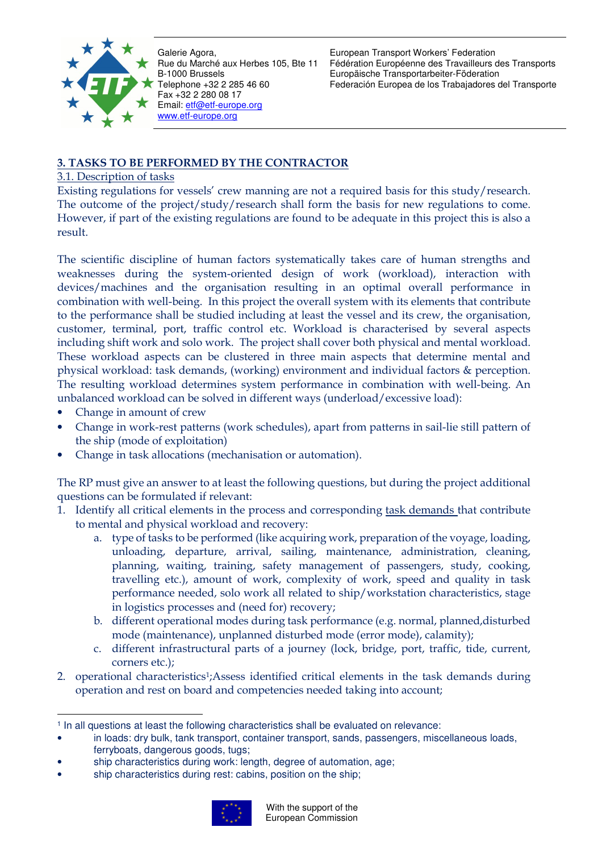

European Transport Workers' Federation Fédération Européenne des Travailleurs des Transports Europäische Transportarbeiter-Föderation Federación Europea de los Trabajadores del Transporte

# **3. TASKS TO BE PERFORMED BY THE CONTRACTOR**

## 3.1. Description of tasks

Existing regulations for vessels' crew manning are not a required basis for this study/research. The outcome of the project/study/research shall form the basis for new regulations to come. However, if part of the existing regulations are found to be adequate in this project this is also a result.

The scientific discipline of human factors systematically takes care of human strengths and weaknesses during the system-oriented design of work (workload), interaction with devices/machines and the organisation resulting in an optimal overall performance in combination with well-being. In this project the overall system with its elements that contribute to the performance shall be studied including at least the vessel and its crew, the organisation, customer, terminal, port, traffic control etc. Workload is characterised by several aspects including shift work and solo work. The project shall cover both physical and mental workload. These workload aspects can be clustered in three main aspects that determine mental and physical workload: task demands, (working) environment and individual factors & perception. The resulting workload determines system performance in combination with well-being. An unbalanced workload can be solved in different ways (underload/excessive load):

- Change in amount of crew
- Change in work-rest patterns (work schedules), apart from patterns in sail-lie still pattern of the ship (mode of exploitation)
- Change in task allocations (mechanisation or automation).

The RP must give an answer to at least the following questions, but during the project additional questions can be formulated if relevant:

- 1. Identify all critical elements in the process and corresponding task demands that contribute to mental and physical workload and recovery:
	- a. type of tasks to be performed (like acquiring work, preparation of the voyage, loading, unloading, departure, arrival, sailing, maintenance, administration, cleaning, planning, waiting, training, safety management of passengers, study, cooking, travelling etc.), amount of work, complexity of work, speed and quality in task performance needed, solo work all related to ship/workstation characteristics, stage in logistics processes and (need for) recovery;
	- b. different operational modes during task performance (e.g. normal, planned,disturbed mode (maintenance), unplanned disturbed mode (error mode), calamity);
	- c. different infrastructural parts of a journey (lock, bridge, port, traffic, tide, current, corners etc.);
- 2. operational characteristics1;Assess identified critical elements in the task demands during operation and rest on board and competencies needed taking into account;

ship characteristics during rest: cabins, position on the ship;



 $\overline{a}$ <sup>1</sup> In all questions at least the following characteristics shall be evaluated on relevance:

<sup>•</sup> in loads: dry bulk, tank transport, container transport, sands, passengers, miscellaneous loads, ferryboats, dangerous goods, tugs;

<sup>•</sup> ship characteristics during work: length, degree of automation, age;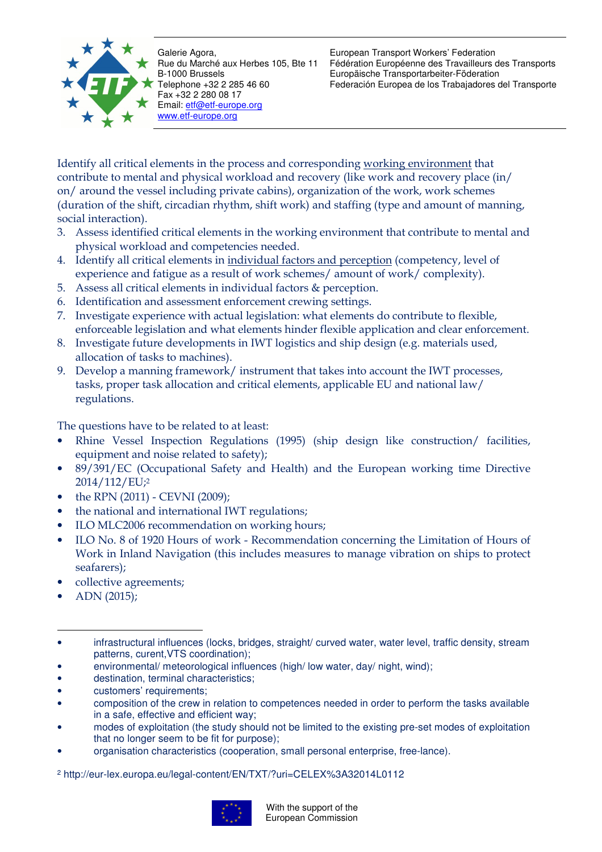

European Transport Workers' Federation Fédération Européenne des Travailleurs des Transports Europäische Transportarbeiter-Föderation Federación Europea de los Trabajadores del Transporte

Identify all critical elements in the process and corresponding working environment that contribute to mental and physical workload and recovery (like work and recovery place (in/ on/ around the vessel including private cabins), organization of the work, work schemes (duration of the shift, circadian rhythm, shift work) and staffing (type and amount of manning, social interaction).

- 3. Assess identified critical elements in the working environment that contribute to mental and physical workload and competencies needed.
- 4. Identify all critical elements in individual factors and perception (competency, level of experience and fatigue as a result of work schemes/ amount of work/ complexity).
- 5. Assess all critical elements in individual factors & perception.
- 6. Identification and assessment enforcement crewing settings.
- 7. Investigate experience with actual legislation: what elements do contribute to flexible, enforceable legislation and what elements hinder flexible application and clear enforcement.
- 8. Investigate future developments in IWT logistics and ship design (e.g. materials used, allocation of tasks to machines).
- 9. Develop a manning framework/ instrument that takes into account the IWT processes, tasks, proper task allocation and critical elements, applicable EU and national law/ regulations.

The questions have to be related to at least:

- Rhine Vessel Inspection Regulations (1995) (ship design like construction/ facilities, equipment and noise related to safety);
- 89/391/EC (Occupational Safety and Health) and the European working time Directive 2014/112/EU;<sup>2</sup>
- the RPN (2011) CEVNI (2009);
- the national and international IWT regulations;
- ILO MLC2006 recommendation on working hours;
- ILO No. 8 of 1920 Hours of work Recommendation concerning the Limitation of Hours of Work in Inland Navigation (this includes measures to manage vibration on ships to protect seafarers);
- collective agreements;
- ADN (2015);

<sup>2</sup> http://eur-lex.europa.eu/legal-content/EN/TXT/?uri=CELEX%3A32014L0112



 $\overline{a}$ infrastructural influences (locks, bridges, straight/ curved water, water level, traffic density, stream patterns, curent,VTS coordination);

environmental/ meteorological influences (high/low water, day/ night, wind);

<sup>•</sup> destination, terminal characteristics;

customers' requirements;

<sup>•</sup> composition of the crew in relation to competences needed in order to perform the tasks available in a safe, effective and efficient way;

<sup>•</sup> modes of exploitation (the study should not be limited to the existing pre-set modes of exploitation that no longer seem to be fit for purpose);

<sup>•</sup> organisation characteristics (cooperation, small personal enterprise, free-lance).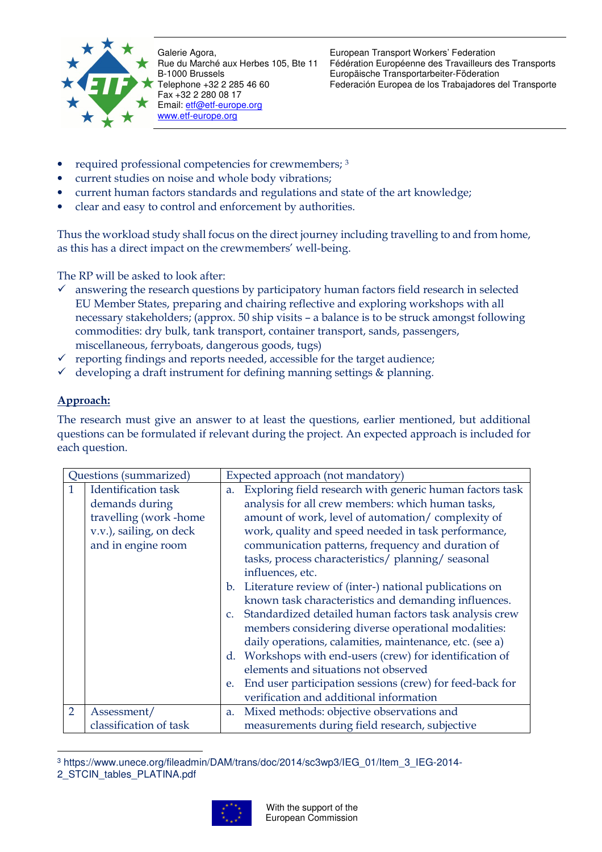

European Transport Workers' Federation Fédération Européenne des Travailleurs des Transports Europäische Transportarbeiter-Föderation Federación Europea de los Trabajadores del Transporte

- required professional competencies for crewmembers; <sup>3</sup>
- current studies on noise and whole body vibrations;
- current human factors standards and regulations and state of the art knowledge;
- clear and easy to control and enforcement by authorities.

Thus the workload study shall focus on the direct journey including travelling to and from home, as this has a direct impact on the crewmembers' well-being.

The RP will be asked to look after:

- $\checkmark$  answering the research questions by participatory human factors field research in selected EU Member States, preparing and chairing reflective and exploring workshops with all necessary stakeholders; (approx. 50 ship visits – a balance is to be struck amongst following commodities: dry bulk, tank transport, container transport, sands, passengers, miscellaneous, ferryboats, dangerous goods, tugs)
- $\checkmark$  reporting findings and reports needed, accessible for the target audience;
- $\checkmark$  developing a draft instrument for defining manning settings & planning.

## **Approach:**

The research must give an answer to at least the questions, earlier mentioned, but additional questions can be formulated if relevant during the project. An expected approach is included for each question.

| Questions (summarized) |                         |             | Expected approach (not mandatory)                         |  |
|------------------------|-------------------------|-------------|-----------------------------------------------------------|--|
|                        | Identification task     | a.          | Exploring field research with generic human factors task  |  |
|                        | demands during          |             | analysis for all crew members: which human tasks,         |  |
|                        | travelling (work-home   |             | amount of work, level of automation/complexity of         |  |
|                        | v.v.), sailing, on deck |             | work, quality and speed needed in task performance,       |  |
| and in engine room     |                         |             | communication patterns, frequency and duration of         |  |
|                        |                         |             | tasks, process characteristics/planning/seasonal          |  |
|                        |                         |             | influences, etc.                                          |  |
|                        |                         |             | b. Literature review of (inter-) national publications on |  |
|                        |                         |             | known task characteristics and demanding influences.      |  |
|                        |                         |             | Standardized detailed human factors task analysis crew    |  |
|                        |                         |             | members considering diverse operational modalities:       |  |
|                        |                         |             | daily operations, calamities, maintenance, etc. (see a)   |  |
|                        |                         | $d_{\cdot}$ | Workshops with end-users (crew) for identification of     |  |
|                        |                         |             | elements and situations not observed                      |  |
|                        |                         | e.          | End user participation sessions (crew) for feed-back for  |  |
|                        |                         |             | verification and additional information                   |  |
| $\overline{2}$         | Assessment/             | a.          | Mixed methods: objective observations and                 |  |
|                        | classification of task  |             | measurements during field research, subjective            |  |

 $\overline{a}$ 3 https://www.unece.org/fileadmin/DAM/trans/doc/2014/sc3wp3/IEG\_01/Item\_3\_IEG-2014- 2\_STCIN\_tables\_PLATINA.pdf

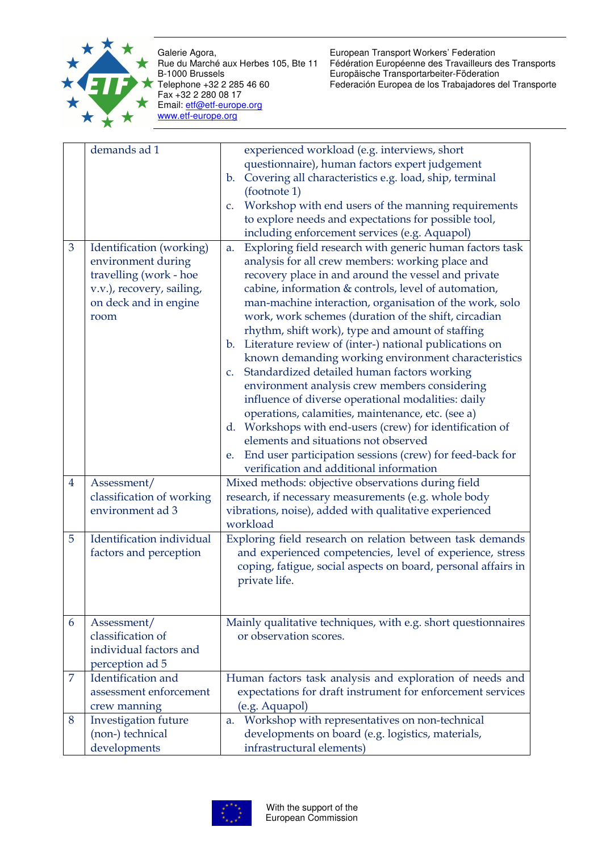

European Transport Workers' Federation Fédération Européenne des Travailleurs des Transports Europäische Transportarbeiter-Föderation Federación Europea de los Trabajadores del Transporte

|                | demands ad 1                                                                                                                           | experienced workload (e.g. interviews, short                                                                                                                                                                                                                                                                                                                                                                                                                                                                                                                                                                                                                                                                                                                                                                                                                                                                                                                |
|----------------|----------------------------------------------------------------------------------------------------------------------------------------|-------------------------------------------------------------------------------------------------------------------------------------------------------------------------------------------------------------------------------------------------------------------------------------------------------------------------------------------------------------------------------------------------------------------------------------------------------------------------------------------------------------------------------------------------------------------------------------------------------------------------------------------------------------------------------------------------------------------------------------------------------------------------------------------------------------------------------------------------------------------------------------------------------------------------------------------------------------|
|                |                                                                                                                                        | questionnaire), human factors expert judgement<br>Covering all characteristics e.g. load, ship, terminal<br>$\mathbf{b}$ .                                                                                                                                                                                                                                                                                                                                                                                                                                                                                                                                                                                                                                                                                                                                                                                                                                  |
|                |                                                                                                                                        | (footnote 1)                                                                                                                                                                                                                                                                                                                                                                                                                                                                                                                                                                                                                                                                                                                                                                                                                                                                                                                                                |
|                |                                                                                                                                        | Workshop with end users of the manning requirements                                                                                                                                                                                                                                                                                                                                                                                                                                                                                                                                                                                                                                                                                                                                                                                                                                                                                                         |
|                |                                                                                                                                        | $C_{\star}$                                                                                                                                                                                                                                                                                                                                                                                                                                                                                                                                                                                                                                                                                                                                                                                                                                                                                                                                                 |
|                |                                                                                                                                        | to explore needs and expectations for possible tool,                                                                                                                                                                                                                                                                                                                                                                                                                                                                                                                                                                                                                                                                                                                                                                                                                                                                                                        |
|                |                                                                                                                                        | including enforcement services (e.g. Aquapol)                                                                                                                                                                                                                                                                                                                                                                                                                                                                                                                                                                                                                                                                                                                                                                                                                                                                                                               |
| 3              | Identification (working)<br>environment during<br>travelling (work - hoe<br>v.v.), recovery, sailing,<br>on deck and in engine<br>room | Exploring field research with generic human factors task<br>a.<br>analysis for all crew members: working place and<br>recovery place in and around the vessel and private<br>cabine, information & controls, level of automation,<br>man-machine interaction, organisation of the work, solo<br>work, work schemes (duration of the shift, circadian<br>rhythm, shift work), type and amount of staffing<br>b. Literature review of (inter-) national publications on<br>known demanding working environment characteristics<br>c. Standardized detailed human factors working<br>environment analysis crew members considering<br>influence of diverse operational modalities: daily<br>operations, calamities, maintenance, etc. (see a)<br>d. Workshops with end-users (crew) for identification of<br>elements and situations not observed<br>End user participation sessions (crew) for feed-back for<br>e.<br>verification and additional information |
| $\overline{4}$ | Assessment/                                                                                                                            | Mixed methods: objective observations during field                                                                                                                                                                                                                                                                                                                                                                                                                                                                                                                                                                                                                                                                                                                                                                                                                                                                                                          |
|                | classification of working                                                                                                              | research, if necessary measurements (e.g. whole body                                                                                                                                                                                                                                                                                                                                                                                                                                                                                                                                                                                                                                                                                                                                                                                                                                                                                                        |
|                | environment ad 3                                                                                                                       | vibrations, noise), added with qualitative experienced                                                                                                                                                                                                                                                                                                                                                                                                                                                                                                                                                                                                                                                                                                                                                                                                                                                                                                      |
|                |                                                                                                                                        | workload                                                                                                                                                                                                                                                                                                                                                                                                                                                                                                                                                                                                                                                                                                                                                                                                                                                                                                                                                    |
| 5              | Identification individual<br>factors and perception                                                                                    | Exploring field research on relation between task demands<br>and experienced competencies, level of experience, stress<br>coping, fatigue, social aspects on board, personal affairs in<br>private life.                                                                                                                                                                                                                                                                                                                                                                                                                                                                                                                                                                                                                                                                                                                                                    |
| 6              | Assessment/                                                                                                                            | Mainly qualitative techniques, with e.g. short questionnaires                                                                                                                                                                                                                                                                                                                                                                                                                                                                                                                                                                                                                                                                                                                                                                                                                                                                                               |
|                | classification of                                                                                                                      | or observation scores.                                                                                                                                                                                                                                                                                                                                                                                                                                                                                                                                                                                                                                                                                                                                                                                                                                                                                                                                      |
|                | individual factors and                                                                                                                 |                                                                                                                                                                                                                                                                                                                                                                                                                                                                                                                                                                                                                                                                                                                                                                                                                                                                                                                                                             |
|                | perception ad 5                                                                                                                        |                                                                                                                                                                                                                                                                                                                                                                                                                                                                                                                                                                                                                                                                                                                                                                                                                                                                                                                                                             |
| 7              | Identification and                                                                                                                     | Human factors task analysis and exploration of needs and                                                                                                                                                                                                                                                                                                                                                                                                                                                                                                                                                                                                                                                                                                                                                                                                                                                                                                    |
|                | assessment enforcement                                                                                                                 | expectations for draft instrument for enforcement services                                                                                                                                                                                                                                                                                                                                                                                                                                                                                                                                                                                                                                                                                                                                                                                                                                                                                                  |
|                | crew manning                                                                                                                           | (e.g. Aquapol)                                                                                                                                                                                                                                                                                                                                                                                                                                                                                                                                                                                                                                                                                                                                                                                                                                                                                                                                              |
| 8              | Investigation future                                                                                                                   | a. Workshop with representatives on non-technical                                                                                                                                                                                                                                                                                                                                                                                                                                                                                                                                                                                                                                                                                                                                                                                                                                                                                                           |
|                | (non-) technical                                                                                                                       | developments on board (e.g. logistics, materials,                                                                                                                                                                                                                                                                                                                                                                                                                                                                                                                                                                                                                                                                                                                                                                                                                                                                                                           |
|                | developments                                                                                                                           | infrastructural elements)                                                                                                                                                                                                                                                                                                                                                                                                                                                                                                                                                                                                                                                                                                                                                                                                                                                                                                                                   |
|                |                                                                                                                                        |                                                                                                                                                                                                                                                                                                                                                                                                                                                                                                                                                                                                                                                                                                                                                                                                                                                                                                                                                             |

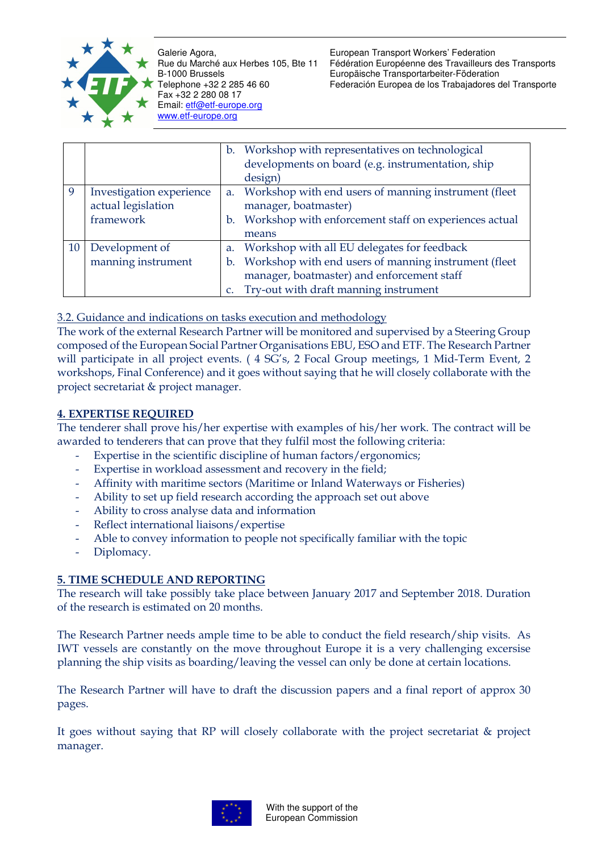

European Transport Workers' Federation Fédération Européenne des Travailleurs des Transports Europäische Transportarbeiter-Föderation Federación Europea de los Trabajadores del Transporte

|          |                                                             |               | b. Workshop with representatives on technological<br>developments on board (e.g. instrumentation, ship<br>design)                                                                                |
|----------|-------------------------------------------------------------|---------------|--------------------------------------------------------------------------------------------------------------------------------------------------------------------------------------------------|
| <b>q</b> | Investigation experience<br>actual legislation<br>framework |               | a. Workshop with end users of manning instrument (fleet<br>manager, boatmaster)<br>b. Workshop with enforcement staff on experiences actual<br>means                                             |
| 10       | Development of<br>manning instrument                        | $C_{\bullet}$ | a. Workshop with all EU delegates for feedback<br>b. Workshop with end users of manning instrument (fleet<br>manager, boatmaster) and enforcement staff<br>Try-out with draft manning instrument |

3.2. Guidance and indications on tasks execution and methodology

The work of the external Research Partner will be monitored and supervised by a Steering Group composed of the European Social Partner Organisations EBU, ESO and ETF. The Research Partner will participate in all project events. ( 4 SG's, 2 Focal Group meetings, 1 Mid-Term Event, 2 workshops, Final Conference) and it goes without saying that he will closely collaborate with the project secretariat & project manager.

## **4. EXPERTISE REQUIRED**

The tenderer shall prove his/her expertise with examples of his/her work. The contract will be awarded to tenderers that can prove that they fulfil most the following criteria:

- Expertise in the scientific discipline of human factors/ergonomics;
- Expertise in workload assessment and recovery in the field;
- Affinity with maritime sectors (Maritime or Inland Waterways or Fisheries)
- Ability to set up field research according the approach set out above
- Ability to cross analyse data and information
- Reflect international liaisons/expertise
- Able to convey information to people not specifically familiar with the topic
- Diplomacy.

# **5. TIME SCHEDULE AND REPORTING**

The research will take possibly take place between January 2017 and September 2018. Duration of the research is estimated on 20 months.

The Research Partner needs ample time to be able to conduct the field research/ship visits. As IWT vessels are constantly on the move throughout Europe it is a very challenging excersise planning the ship visits as boarding/leaving the vessel can only be done at certain locations.

The Research Partner will have to draft the discussion papers and a final report of approx 30 pages.

It goes without saying that RP will closely collaborate with the project secretariat & project manager.

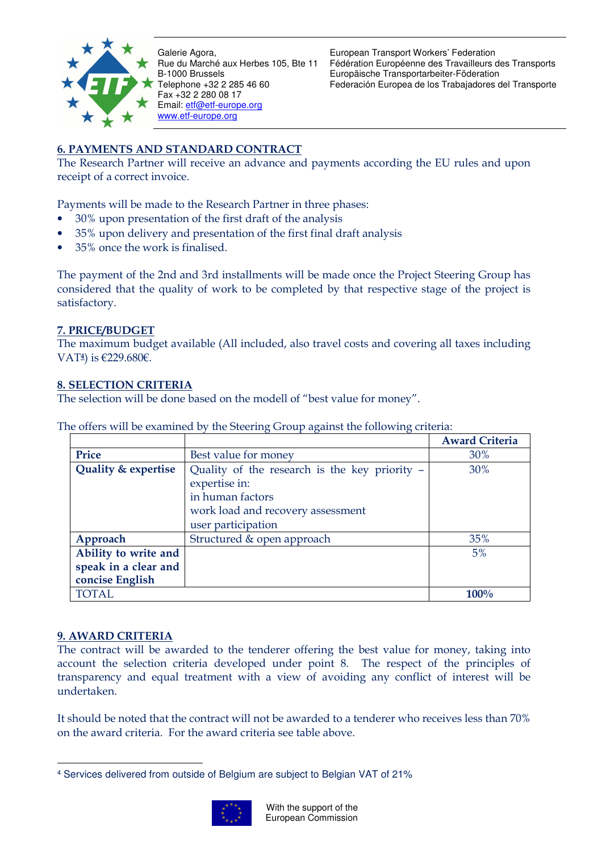

European Transport Workers' Federation Fédération Européenne des Travailleurs des Transports Europäische Transportarbeiter-Föderation Federación Europea de los Trabajadores del Transporte

# **6. PAYMENTS AND STANDARD CONTRACT**

The Research Partner will receive an advance and payments according the EU rules and upon receipt of a correct invoice.

Payments will be made to the Research Partner in three phases:

- 30% upon presentation of the first draft of the analysis
- 35% upon delivery and presentation of the first final draft analysis
- 35% once the work is finalised.

The payment of the 2nd and 3rd installments will be made once the Project Steering Group has considered that the quality of work to be completed by that respective stage of the project is satisfactory.

## **7. PRICE/BUDGET**

The maximum budget available (All included, also travel costs and covering all taxes including VAT**4**) is €229.680€.

### **8. SELECTION CRITERIA**

The selection will be done based on the modell of "best value for money".

|                      |                                               | <b>Award Criteria</b> |
|----------------------|-----------------------------------------------|-----------------------|
| Price                | Best value for money                          | 30%                   |
| Quality & expertise  | Quality of the research is the key priority - |                       |
|                      | expertise in:                                 |                       |
|                      | in human factors                              |                       |
|                      | work load and recovery assessment             |                       |
|                      | user participation                            |                       |
| Approach             | Structured & open approach                    | 35%                   |
| Ability to write and |                                               | 5%                    |
| speak in a clear and |                                               |                       |
| concise English      |                                               |                       |
| <b>TOTAL</b>         |                                               | 100%                  |

The offers will be examined by the Steering Group against the following criteria:

### **9. AWARD CRITERIA**

The contract will be awarded to the tenderer offering the best value for money, taking into account the selection criteria developed under point 8. The respect of the principles of transparency and equal treatment with a view of avoiding any conflict of interest will be undertaken.

It should be noted that the contract will not be awarded to a tenderer who receives less than 70% on the award criteria. For the award criteria see table above.

 $\overline{a}$ 4 Services delivered from outside of Belgium are subject to Belgian VAT of 21%